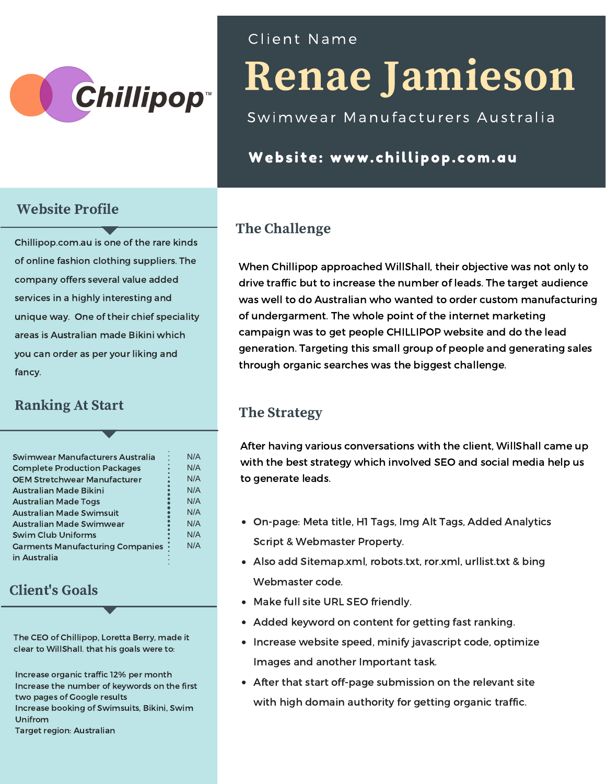

### Website Profile

Chillipop.com.au is one of the rare kinds of online fashion clothing suppliers. The company offers several value added services in a highly interesting and unique way. One of their chief speciality areas is Australian made Bikini which you can order as per your liking and fancy.

### Ranking At Start

| Swimwear Manufacturers Australia        | N/A |
|-----------------------------------------|-----|
| <b>Complete Production Packages</b>     | N/A |
| <b>OEM Stretchwear Manufacturer</b>     | N/A |
| Australian Made Bikini                  | N/A |
| <b>Australian Made Togs</b>             | N/A |
| <b>Australian Made Swimsuit</b>         | N/A |
| Australian Made Swimwear                | N/A |
| <b>Swim Club Uniforms</b>               | N/A |
| <b>Garments Manufacturing Companies</b> | N/A |
| in Australia                            |     |

### Client's Goals

The CEO of Chillipop, Loretta Berry, made it clear to WillShall. that his goals were to:

Increase organic traffic 12% per month Increase the number of keywords on the first two pages of Google results Increase booking of Swimsuits, Bikini, Swim Unifrom Target region: Australian

## Cl ient Name

# Renae Jamieson

Swimwear Manufacturers Australia

## Website: www.chillipop.com.au

# The Challenge

When Chillipop approached WillShall, their objective was not only to drive traffic but to increase the number of leads. The target audience was well to do Australian who wanted to order custom manufacturing of undergarment. The whole point of the internet marketing campaign was to get people CHILLIPOP website and do the lead generation. Targeting this small group of people and generating sales through organic searches was the biggest challenge.

### The Strategy

After having various conversations with the client, WillShall came up with the best strategy which involved SEO and social media help us to generate leads.

- On-page: Meta title, H1 Tags, Img Alt Tags, Added Analytics Script & Webmaster Property.
- Also add Sitemap.xml, robots.txt, ror.xml, urllist.txt & bing Webmaster code.
- Make full site URL SEO friendly.
- Added keyword on content for getting fast ranking.
- Increase website speed, minify javascript code, optimize Images and another Important task.
- After that start off-page submission on the relevant site with high domain authority for getting organic traffic.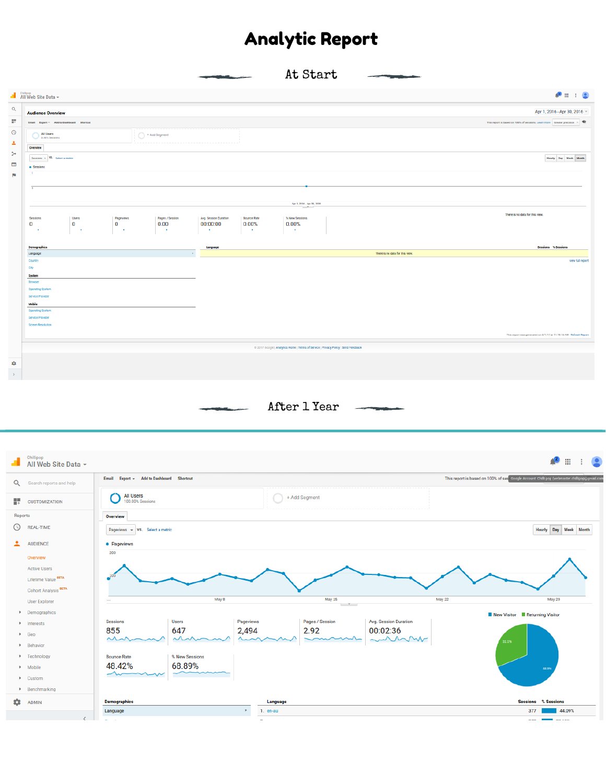# Analytic Report

|                         |                                                                   |                                            | At Start                                                                           |                                 |                                                                               |
|-------------------------|-------------------------------------------------------------------|--------------------------------------------|------------------------------------------------------------------------------------|---------------------------------|-------------------------------------------------------------------------------|
|                         | All Web Site Data -                                               |                                            |                                                                                    |                                 | $\mathbf{A}^{\text{B}}\equiv\mathbf{1}\cdot\mathbf{A}^{\text{B}}$             |
| $\mathbf{Q}_\mathrm{c}$ | <b>Audience Overview</b>                                          |                                            |                                                                                    |                                 | Apr 1, 2016 - Apr 30, 2016 -                                                  |
| Ħ.                      | Email Export = Add to Dashboard Shortcut                          |                                            |                                                                                    |                                 | This report is based on 100% of sessions. Learn more Greater precision $\sim$ |
| $\odot$                 | All Users<br>$\bigcirc$ + Add Segment                             |                                            |                                                                                    |                                 |                                                                               |
| A.                      | $0.00\%$ Sexsions                                                 |                                            |                                                                                    |                                 |                                                                               |
| $\rightarrow$           | Overview                                                          |                                            |                                                                                    |                                 |                                                                               |
| $\Box$                  | Sessions ~ VS. Select a metric<br>· Sessions                      |                                            |                                                                                    |                                 | Hourly Day Week Month                                                         |
| p.                      |                                                                   |                                            |                                                                                    |                                 |                                                                               |
|                         |                                                                   |                                            |                                                                                    |                                 |                                                                               |
|                         |                                                                   |                                            |                                                                                    |                                 |                                                                               |
|                         |                                                                   |                                            | $_{\rm Apr\ 1,\ 2016\, \cdot \, Agr\ 30,\ 2016}$                                   |                                 |                                                                               |
|                         | Sessions<br>Users                                                 | <b>Bounce Rate</b>                         | % New Sessions                                                                     |                                 | There is no data for this view.                                               |
|                         | Pageviews<br>Pages / Session<br>$\bf{0}$<br>$\bf{0}$<br>0<br>0.00 | Avg. Session Duration<br>00:00:00<br>0.00% | 0.00%                                                                              |                                 |                                                                               |
|                         | $\sim$<br><b>College</b><br>$\sim$<br>$\sim$ 100 $\pm$            | 18.1<br>$\sim$                             | $\sim$                                                                             |                                 |                                                                               |
|                         |                                                                   |                                            |                                                                                    |                                 |                                                                               |
|                         |                                                                   |                                            |                                                                                    |                                 | <b>Sessions</b> & Sessions                                                    |
|                         | Demographics<br>Language<br>$\sim$                                | Language                                   |                                                                                    | There is no data for this view. |                                                                               |
|                         | Country                                                           |                                            |                                                                                    |                                 | view full report                                                              |
|                         | City                                                              |                                            |                                                                                    |                                 |                                                                               |
|                         | <b>System</b><br>Browser                                          |                                            |                                                                                    |                                 |                                                                               |
|                         | <b>Operating System</b>                                           |                                            |                                                                                    |                                 |                                                                               |
|                         | Service Provider                                                  |                                            |                                                                                    |                                 |                                                                               |
|                         | Mobile                                                            |                                            |                                                                                    |                                 |                                                                               |
|                         | Operating System                                                  |                                            |                                                                                    |                                 |                                                                               |
|                         | Service Provider                                                  |                                            |                                                                                    |                                 |                                                                               |
|                         | Screen Resolution                                                 |                                            |                                                                                    |                                 |                                                                               |
|                         |                                                                   |                                            |                                                                                    |                                 | This report was generated on 6/1/17 at 11:18:16 AM - Refresh Report           |
|                         |                                                                   |                                            | @ 2017 Google   Analytics Home   Terms of Service   Privacy Policy   Send Feedback |                                 |                                                                               |
|                         |                                                                   |                                            |                                                                                    |                                 |                                                                               |
| ۰                       |                                                                   |                                            |                                                                                    |                                 |                                                                               |
| $\mathcal{V}$           |                                                                   |                                            |                                                                                    |                                 |                                                                               |

After 1 Year